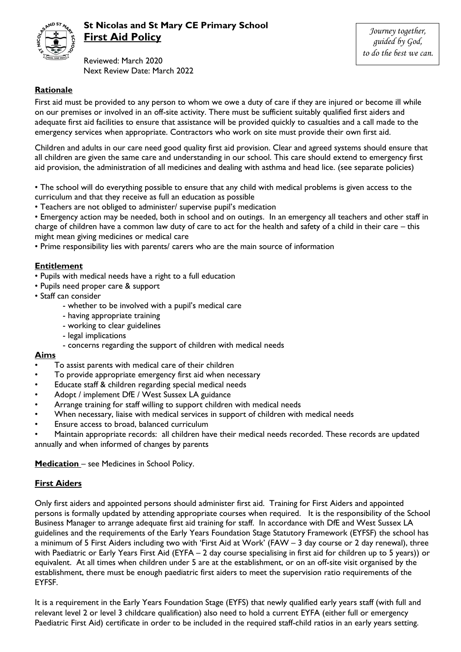

# **St Nicolas and St Mary CE Primary School First Aid Policy**

Reviewed: March 2020 Next Review Date: March 2022

*Journey together, guided by God, to do the best we can.*

# **Rationale**

First aid must be provided to any person to whom we owe a duty of care if they are injured or become ill while on our premises or involved in an off-site activity. There must be sufficient suitably qualified first aiders and adequate first aid facilities to ensure that assistance will be provided quickly to casualties and a call made to the emergency services when appropriate. Contractors who work on site must provide their own first aid.

Children and adults in our care need good quality first aid provision. Clear and agreed systems should ensure that all children are given the same care and understanding in our school. This care should extend to emergency first aid provision, the administration of all medicines and dealing with asthma and head lice. (see separate policies)

• The school will do everything possible to ensure that any child with medical problems is given access to the curriculum and that they receive as full an education as possible

• Teachers are not obliged to administer/ supervise pupil's medication

• Emergency action may be needed, both in school and on outings. In an emergency all teachers and other staff in charge of children have a common law duty of care to act for the health and safety of a child in their care – this might mean giving medicines or medical care

• Prime responsibility lies with parents/ carers who are the main source of information

# **Entitlement**

- Pupils with medical needs have a right to a full education
- Pupils need proper care & support
- Staff can consider
	- whether to be involved with a pupil's medical care
	- having appropriate training
	- working to clear guidelines
	- legal implications
	- concerns regarding the support of children with medical needs

#### **Aims**

- To assist parents with medical care of their children
- To provide appropriate emergency first aid when necessary
- Educate staff & children regarding special medical needs
- Adopt / implement DfE / West Sussex LA guidance
- Arrange training for staff willing to support children with medical needs
- When necessary, liaise with medical services in support of children with medical needs
- Ensure access to broad, balanced curriculum

• Maintain appropriate records: all children have their medical needs recorded. These records are updated annually and when informed of changes by parents

**Medication** – see Medicines in School Policy.

# **First Aiders**

Only first aiders and appointed persons should administer first aid. Training for First Aiders and appointed persons is formally updated by attending appropriate courses when required. It is the responsibility of the School Business Manager to arrange adequate first aid training for staff. In accordance with DfE and West Sussex LA guidelines and the requirements of the Early Years Foundation Stage Statutory Framework (EYFSF) the school has a minimum of 5 First Aiders including two with 'First Aid at Work' (FAW – 3 day course or 2 day renewal), three with Paediatric or Early Years First Aid (EYFA – 2 day course specialising in first aid for children up to 5 years)) or equivalent. At all times when children under 5 are at the establishment, or on an off-site visit organised by the establishment, there must be enough paediatric first aiders to meet the supervision ratio requirements of the EYFSF.

It is a requirement in the Early Years Foundation Stage (EYFS) that newly qualified early years staff (with full and relevant level 2 or level 3 childcare qualification) also need to hold a current EYFA (either full or emergency Paediatric First Aid) certificate in order to be included in the required staff-child ratios in an early years setting.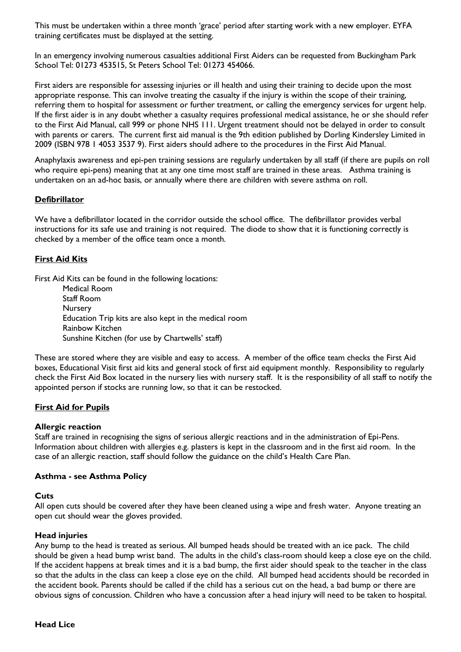This must be undertaken within a three month 'grace' period after starting work with a new employer. EYFA training certificates must be displayed at the setting.

In an emergency involving numerous casualties additional First Aiders can be requested from Buckingham Park School Tel: 01273 453515, St Peters School Tel: 01273 454066.

First aiders are responsible for assessing injuries or ill health and using their training to decide upon the most appropriate response. This can involve treating the casualty if the injury is within the scope of their training, referring them to hospital for assessment or further treatment, or calling the emergency services for urgent help. If the first aider is in any doubt whether a casualty requires professional medical assistance, he or she should refer to the First Aid Manual, call 999 or phone NHS 111. Urgent treatment should not be delayed in order to consult with parents or carers. The current first aid manual is the 9th edition published by Dorling Kindersley Limited in 2009 (ISBN 978 1 4053 3537 9). First aiders should adhere to the procedures in the First Aid Manual.

Anaphylaxis awareness and epi-pen training sessions are regularly undertaken by all staff (if there are pupils on roll who require epi-pens) meaning that at any one time most staff are trained in these areas. Asthma training is undertaken on an ad-hoc basis, or annually where there are children with severe asthma on roll.

#### **Defibrillator**

We have a defibrillator located in the corridor outside the school office. The defibrillator provides verbal instructions for its safe use and training is not required. The diode to show that it is functioning correctly is checked by a member of the office team once a month.

#### **First Aid Kits**

First Aid Kits can be found in the following locations:

Medical Room Staff Room **Nursery** Education Trip kits are also kept in the medical room Rainbow Kitchen Sunshine Kitchen (for use by Chartwells' staff)

These are stored where they are visible and easy to access. A member of the office team checks the First Aid boxes, Educational Visit first aid kits and general stock of first aid equipment monthly. Responsibility to regularly check the First Aid Box located in the nursery lies with nursery staff. It is the responsibility of all staff to notify the appointed person if stocks are running low, so that it can be restocked.

#### **First Aid for Pupils**

#### **Allergic reaction**

Staff are trained in recognising the signs of serious allergic reactions and in the administration of Epi-Pens. Information about children with allergies e.g. plasters is kept in the classroom and in the first aid room. In the case of an allergic reaction, staff should follow the guidance on the child's Health Care Plan.

#### **Asthma - see Asthma Policy**

#### **Cuts**

All open cuts should be covered after they have been cleaned using a wipe and fresh water. Anyone treating an open cut should wear the gloves provided.

#### **Head injuries**

Any bump to the head is treated as serious. All bumped heads should be treated with an ice pack. The child should be given a head bump wrist band. The adults in the child's class-room should keep a close eye on the child. If the accident happens at break times and it is a bad bump, the first aider should speak to the teacher in the class so that the adults in the class can keep a close eye on the child. All bumped head accidents should be recorded in the accident book. Parents should be called if the child has a serious cut on the head, a bad bump or there are obvious signs of concussion. Children who have a concussion after a head injury will need to be taken to hospital.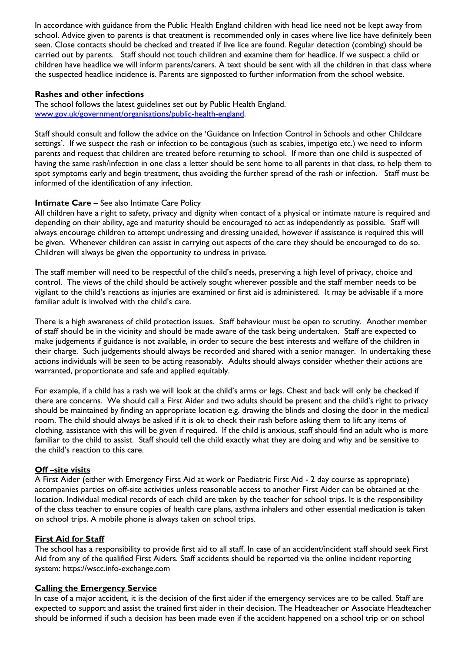In accordance with guidance from the Public Health England children with head lice need not be kept away from school. Advice given to parents is that treatment is recommended only in cases where live lice have definitely been seen. Close contacts should be checked and treated if live lice are found. Regular detection (combing) should be carried out by parents. Staff should not touch children and examine them for headlice. If we suspect a child or children have headlice we will inform parents/carers. A text should be sent with all the children in that class where the suspected headlice incidence is. Parents are signposted to further information from the school website.

#### **Rashes and other infections**

The school follows the latest guidelines set out by Public Health England. [www.gov.uk/government/organisations/public-health-england.](http://www.gov.uk/government/organisations/public-health-england) 

Staff should consult and follow the advice on the 'Guidance on Infection Control in Schools and other Childcare settings'. If we suspect the rash or infection to be contagious (such as scabies, impetigo etc.) we need to inform parents and request that children are treated before returning to school. If more than one child is suspected of having the same rash/infection in one class a letter should be sent home to all parents in that class, to help them to spot symptoms early and begin treatment, thus avoiding the further spread of the rash or infection. Staff must be informed of the identification of any infection.

# **Intimate Care –** See also Intimate Care Policy

All children have a right to safety, privacy and dignity when contact of a physical or intimate nature is required and depending on their ability, age and maturity should be encouraged to act as independently as possible. Staff will always encourage children to attempt undressing and dressing unaided, however if assistance is required this will be given. Whenever children can assist in carrying out aspects of the care they should be encouraged to do so. Children will always be given the opportunity to undress in private.

The staff member will need to be respectful of the child's needs, preserving a high level of privacy, choice and control. The views of the child should be actively sought wherever possible and the staff member needs to be vigilant to the child's reactions as injuries are examined or first aid is administered. It may be advisable if a more familiar adult is involved with the child's care.

There is a high awareness of child protection issues. Staff behaviour must be open to scrutiny. Another member of staff should be in the vicinity and should be made aware of the task being undertaken. Staff are expected to make judgements if guidance is not available, in order to secure the best interests and welfare of the children in their charge. Such judgements should always be recorded and shared with a senior manager. In undertaking these actions individuals will be seen to be acting reasonably. Adults should always consider whether their actions are warranted, proportionate and safe and applied equitably.

For example, if a child has a rash we will look at the child's arms or legs. Chest and back will only be checked if there are concerns. We should call a First Aider and two adults should be present and the child's right to privacy should be maintained by finding an appropriate location e.g. drawing the blinds and closing the door in the medical room. The child should always be asked if it is ok to check their rash before asking them to lift any items of clothing, assistance with this will be given if required. If the child is anxious, staff should find an adult who is more familiar to the child to assist. Staff should tell the child exactly what they are doing and why and be sensitive to the child's reaction to this care.

# **Off –site visits**

A First Aider (either with Emergency First Aid at work or Paediatric First Aid - 2 day course as appropriate) accompanies parties on off-site activities unless reasonable access to another First Aider can be obtained at the location. Individual medical records of each child are taken by the teacher for school trips. It is the responsibility of the class teacher to ensure copies of health care plans, asthma inhalers and other essential medication is taken on school trips. A mobile phone is always taken on school trips.

#### **First Aid for Staff**

The school has a responsibility to provide first aid to all staff. In case of an accident/incident staff should seek First Aid from any of the qualified First Aiders. Staff accidents should be reported via the online incident reporting system: https://wscc.info-exchange.com

#### **Calling the Emergency Service**

In case of a major accident, it is the decision of the first aider if the emergency services are to be called. Staff are expected to support and assist the trained first aider in their decision. The Headteacher or Associate Headteacher should be informed if such a decision has been made even if the accident happened on a school trip or on school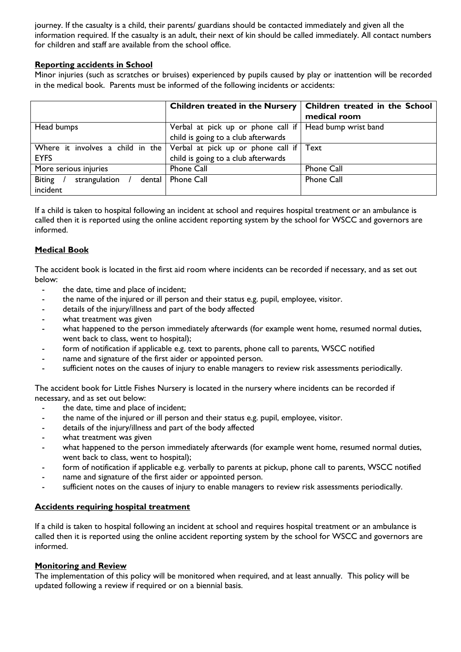journey. If the casualty is a child, their parents/ guardians should be contacted immediately and given all the information required. If the casualty is an adult, their next of kin should be called immediately. All contact numbers for children and staff are available from the school office.

# **Reporting accidents in School**

Minor injuries (such as scratches or bruises) experienced by pupils caused by play or inattention will be recorded in the medical book. Parents must be informed of the following incidents or accidents:

|                                          | Children treated in the Nursery                                                  | Children treated in the School |
|------------------------------------------|----------------------------------------------------------------------------------|--------------------------------|
|                                          |                                                                                  | medical room                   |
| Head bumps                               | Verbal at pick up or phone call if   Head bump wrist band                        |                                |
|                                          | child is going to a club afterwards                                              |                                |
|                                          | Where it involves a child in the Verbal at pick up or phone call if $\vert$ Text |                                |
| <b>EYFS</b>                              | child is going to a club afterwards                                              |                                |
| More serious injuries                    | Phone Call                                                                       | Phone Call                     |
| <b>Biting</b><br>strangulation<br>dental | Phone Call                                                                       | <b>Phone Call</b>              |
| incident                                 |                                                                                  |                                |

If a child is taken to hospital following an incident at school and requires hospital treatment or an ambulance is called then it is reported using the online accident reporting system by the school for WSCC and governors are informed.

# **Medical Book**

The accident book is located in the first aid room where incidents can be recorded if necessary, and as set out below:

- the date, time and place of incident;
- the name of the injured or ill person and their status e.g. pupil, employee, visitor.
- details of the injury/illness and part of the body affected
- what treatment was given
- what happened to the person immediately afterwards (for example went home, resumed normal duties, went back to class, went to hospital);
- form of notification if applicable e.g. text to parents, phone call to parents, WSCC notified
- name and signature of the first aider or appointed person.
- sufficient notes on the causes of injury to enable managers to review risk assessments periodically.

The accident book for Little Fishes Nursery is located in the nursery where incidents can be recorded if necessary, and as set out below:

- the date, time and place of incident;
- the name of the injured or ill person and their status e.g. pupil, employee, visitor.
- details of the injury/illness and part of the body affected
- what treatment was given
- what happened to the person immediately afterwards (for example went home, resumed normal duties, went back to class, went to hospital);
- form of notification if applicable e.g. verbally to parents at pickup, phone call to parents, WSCC notified
- name and signature of the first aider or appointed person.
- sufficient notes on the causes of injury to enable managers to review risk assessments periodically.

# **Accidents requiring hospital treatment**

If a child is taken to hospital following an incident at school and requires hospital treatment or an ambulance is called then it is reported using the online accident reporting system by the school for WSCC and governors are informed.

# **Monitoring and Review**

The implementation of this policy will be monitored when required, and at least annually. This policy will be updated following a review if required or on a biennial basis.